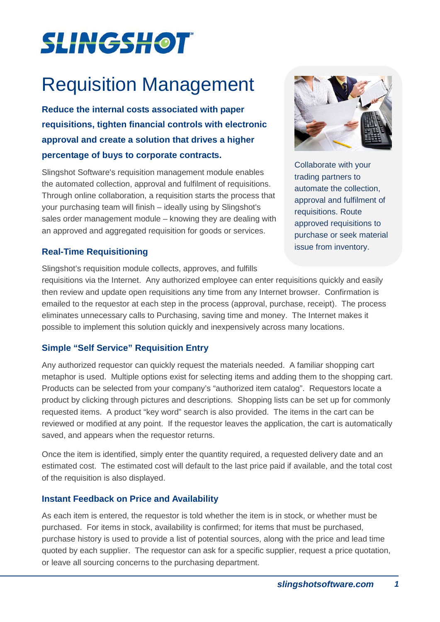# **SLINGSHOT**

# Requisition Management

**Reduce the internal costs associated with paper requisitions, tighten financial controls with electronic approval and create a solution that drives a higher percentage of buys to corporate contracts.**

Slingshot Software's requisition management module enables the automated collection, approval and fulfilment of requisitions. Through online collaboration, a requisition starts the process that your purchasing team will finish – ideally using by Slingshot's sales order management module – knowing they are dealing with an approved and aggregated requisition for goods or services.

## **Real-Time Requisitioning**

Slingshot's requisition module collects, approves, and fulfills



Collaborate with your trading partners to automate the collection, approval and fulfilment of requisitions. Route approved requisitions to purchase or seek material issue from inventory.

requisitions via the Internet. Any authorized employee can enter requisitions quickly and easily then review and update open requisitions any time from any Internet browser. Confirmation is emailed to the requestor at each step in the process (approval, purchase, receipt). The process eliminates unnecessary calls to Purchasing, saving time and money. The Internet makes it possible to implement this solution quickly and inexpensively across many locations.

# **Simple "Self Service" Requisition Entry**

Any authorized requestor can quickly request the materials needed. A familiar shopping cart metaphor is used. Multiple options exist for selecting items and adding them to the shopping cart. Products can be selected from your company's "authorized item catalog". Requestors locate a product by clicking through pictures and descriptions. Shopping lists can be set up for commonly requested items. A product "key word" search is also provided. The items in the cart can be reviewed or modified at any point. If the requestor leaves the application, the cart is automatically saved, and appears when the requestor returns.

Once the item is identified, simply enter the quantity required, a requested delivery date and an estimated cost. The estimated cost will default to the last price paid if available, and the total cost of the requisition is also displayed.

#### **Instant Feedback on Price and Availability**

As each item is entered, the requestor is told whether the item is in stock, or whether must be purchased. For items in stock, availability is confirmed; for items that must be purchased, purchase history is used to provide a list of potential sources, along with the price and lead time quoted by each supplier. The requestor can ask for a specific supplier, request a price quotation, or leave all sourcing concerns to the purchasing department.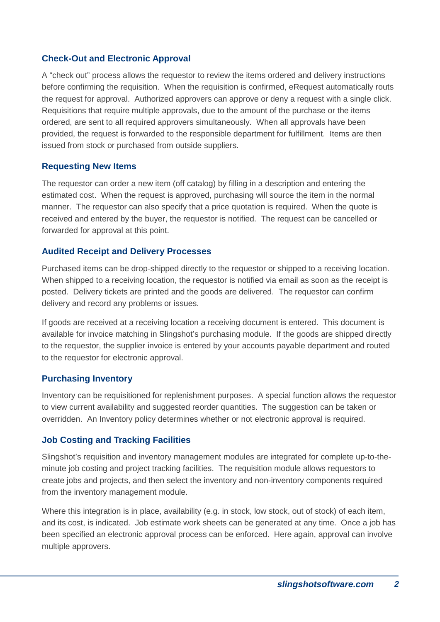### **Check-Out and Electronic Approval**

A "check out" process allows the requestor to review the items ordered and delivery instructions before confirming the requisition. When the requisition is confirmed, eRequest automatically routs the request for approval. Authorized approvers can approve or deny a request with a single click. Requisitions that require multiple approvals, due to the amount of the purchase or the items ordered, are sent to all required approvers simultaneously. When all approvals have been provided, the request is forwarded to the responsible department for fulfillment. Items are then issued from stock or purchased from outside suppliers.

#### **Requesting New Items**

The requestor can order a new item (off catalog) by filling in a description and entering the estimated cost. When the request is approved, purchasing will source the item in the normal manner. The requestor can also specify that a price quotation is required. When the quote is received and entered by the buyer, the requestor is notified. The request can be cancelled or forwarded for approval at this point.

#### **Audited Receipt and Delivery Processes**

Purchased items can be drop-shipped directly to the requestor or shipped to a receiving location. When shipped to a receiving location, the requestor is notified via email as soon as the receipt is posted. Delivery tickets are printed and the goods are delivered. The requestor can confirm delivery and record any problems or issues.

If goods are received at a receiving location a receiving document is entered. This document is available for invoice matching in Slingshot's purchasing module. If the goods are shipped directly to the requestor, the supplier invoice is entered by your accounts payable department and routed to the requestor for electronic approval.

#### **Purchasing Inventory**

Inventory can be requisitioned for replenishment purposes. A special function allows the requestor to view current availability and suggested reorder quantities. The suggestion can be taken or overridden. An Inventory policy determines whether or not electronic approval is required.

#### **Job Costing and Tracking Facilities**

Slingshot's requisition and inventory management modules are integrated for complete up-to-theminute job costing and project tracking facilities. The requisition module allows requestors to create jobs and projects, and then select the inventory and non-inventory components required from the inventory management module.

Where this integration is in place, availability (e.g. in stock, low stock, out of stock) of each item, and its cost, is indicated. Job estimate work sheets can be generated at any time. Once a job has been specified an electronic approval process can be enforced. Here again, approval can involve multiple approvers.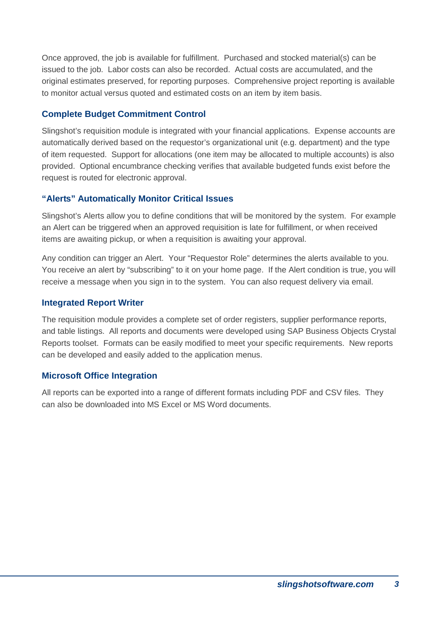Once approved, the job is available for fulfillment. Purchased and stocked material(s) can be issued to the job. Labor costs can also be recorded. Actual costs are accumulated, and the original estimates preserved, for reporting purposes. Comprehensive project reporting is available to monitor actual versus quoted and estimated costs on an item by item basis.

### **Complete Budget Commitment Control**

Slingshot's requisition module is integrated with your financial applications. Expense accounts are automatically derived based on the requestor's organizational unit (e.g. department) and the type of item requested. Support for allocations (one item may be allocated to multiple accounts) is also provided. Optional encumbrance checking verifies that available budgeted funds exist before the request is routed for electronic approval.

## **"Alerts" Automatically Monitor Critical Issues**

Slingshot's Alerts allow you to define conditions that will be monitored by the system. For example an Alert can be triggered when an approved requisition is late for fulfillment, or when received items are awaiting pickup, or when a requisition is awaiting your approval.

Any condition can trigger an Alert. Your "Requestor Role" determines the alerts available to you. You receive an alert by "subscribing" to it on your home page. If the Alert condition is true, you will receive a message when you sign in to the system. You can also request delivery via email.

#### **Integrated Report Writer**

The requisition module provides a complete set of order registers, supplier performance reports, and table listings. All reports and documents were developed using SAP Business Objects Crystal Reports toolset. Formats can be easily modified to meet your specific requirements. New reports can be developed and easily added to the application menus.

# **Microsoft Office Integration**

All reports can be exported into a range of different formats including PDF and CSV files. They can also be downloaded into MS Excel or MS Word documents.